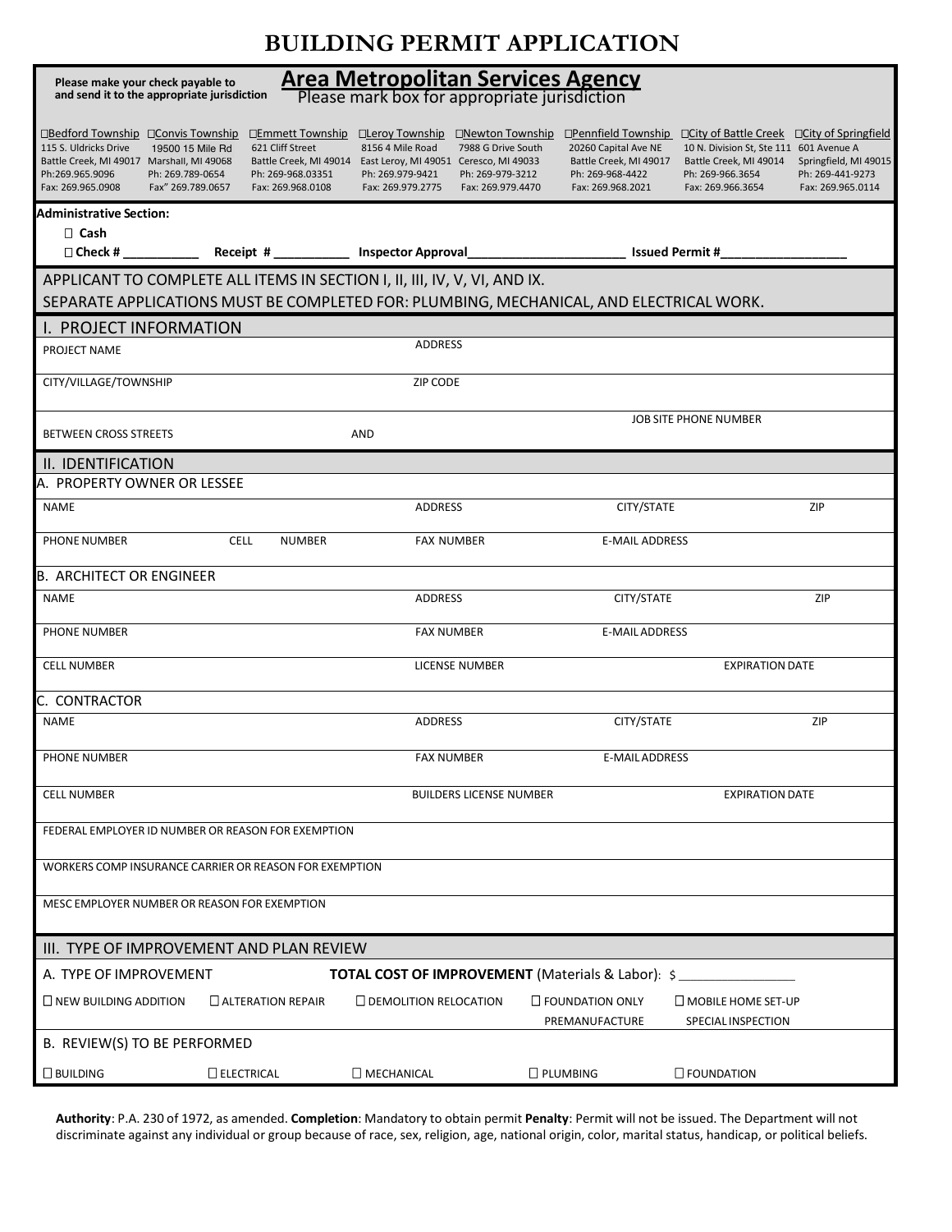## **BUILDING PERMIT APPLICATION**

| Please make your check payable to                                                                                                                                                                              |                                                                                |                                                                                                                                                                                                                                  |                                                                                                                |                                                                                                                                                                                                                                      |  |  |  |  |
|----------------------------------------------------------------------------------------------------------------------------------------------------------------------------------------------------------------|--------------------------------------------------------------------------------|----------------------------------------------------------------------------------------------------------------------------------------------------------------------------------------------------------------------------------|----------------------------------------------------------------------------------------------------------------|--------------------------------------------------------------------------------------------------------------------------------------------------------------------------------------------------------------------------------------|--|--|--|--|
| <b>Area Metropolitan Services Agency</b><br>Please mark box for appropriate jurisdiction<br>and send it to the appropriate jurisdiction                                                                        |                                                                                |                                                                                                                                                                                                                                  |                                                                                                                |                                                                                                                                                                                                                                      |  |  |  |  |
| □Bedford Township □ Convis Township<br>115 S. Uldricks Drive<br>19500 15 Mile Rd<br>Battle Creek, MI 49017 Marshall, MI 49068<br>Ph:269.965.9096<br>Ph: 269.789-0654<br>Fax: 269.965.0908<br>Fax" 269.789.0657 | □Emmett Township<br>621 Cliff Street<br>Ph: 269-968.03351<br>Fax: 269.968.0108 | □Lerov Township<br>□Newton Township<br>8156 4 Mile Road<br>7988 G Drive South<br>Battle Creek, MI 49014 East Leroy, MI 49051 Ceresco, MI 49033<br>Ph: 269.979-9421<br>Ph: 269-979-3212<br>Fax: 269.979.2775<br>Fax: 269.979.4470 | □Pennfield Township<br>20260 Capital Ave NE<br>Battle Creek, MI 49017<br>Ph: 269-968-4422<br>Fax: 269.968.2021 | $\Box$ City of Springfield<br>□ City of Battle Creek<br>10 N. Division St, Ste 111 601 Avenue A<br>Battle Creek, MI 49014<br>Springfield, MI 49015<br>Ph: 269-441-9273<br>Ph: 269-966.3654<br>Fax: 269.966.3654<br>Fax: 269.965.0114 |  |  |  |  |
| <b>Administrative Section:</b>                                                                                                                                                                                 |                                                                                |                                                                                                                                                                                                                                  |                                                                                                                |                                                                                                                                                                                                                                      |  |  |  |  |
| $\Box$ Cash                                                                                                                                                                                                    |                                                                                |                                                                                                                                                                                                                                  |                                                                                                                |                                                                                                                                                                                                                                      |  |  |  |  |
| ___________ Receipt # ______________ Inspector Approval_______________________________ Issued Permit #_<br>$\Box$ Check #                                                                                      |                                                                                |                                                                                                                                                                                                                                  |                                                                                                                |                                                                                                                                                                                                                                      |  |  |  |  |
| APPLICANT TO COMPLETE ALL ITEMS IN SECTION I, II, III, IV, V, VI, AND IX.<br>SEPARATE APPLICATIONS MUST BE COMPLETED FOR: PLUMBING, MECHANICAL, AND ELECTRICAL WORK.                                           |                                                                                |                                                                                                                                                                                                                                  |                                                                                                                |                                                                                                                                                                                                                                      |  |  |  |  |
| I. PROJECT INFORMATION                                                                                                                                                                                         |                                                                                |                                                                                                                                                                                                                                  |                                                                                                                |                                                                                                                                                                                                                                      |  |  |  |  |
| PROJECT NAME                                                                                                                                                                                                   |                                                                                | <b>ADDRESS</b>                                                                                                                                                                                                                   |                                                                                                                |                                                                                                                                                                                                                                      |  |  |  |  |
| CITY/VILLAGE/TOWNSHIP                                                                                                                                                                                          |                                                                                | ZIP CODE                                                                                                                                                                                                                         |                                                                                                                |                                                                                                                                                                                                                                      |  |  |  |  |
| <b>BETWEEN CROSS STREETS</b><br>AND                                                                                                                                                                            |                                                                                |                                                                                                                                                                                                                                  | JOB SITE PHONE NUMBER                                                                                          |                                                                                                                                                                                                                                      |  |  |  |  |
| II. IDENTIFICATION                                                                                                                                                                                             |                                                                                |                                                                                                                                                                                                                                  |                                                                                                                |                                                                                                                                                                                                                                      |  |  |  |  |
| A.  PROPERTY OWNER OR LESSEE                                                                                                                                                                                   |                                                                                |                                                                                                                                                                                                                                  |                                                                                                                |                                                                                                                                                                                                                                      |  |  |  |  |
| <b>NAME</b>                                                                                                                                                                                                    |                                                                                | <b>ADDRESS</b>                                                                                                                                                                                                                   | CITY/STATE                                                                                                     | ZIP                                                                                                                                                                                                                                  |  |  |  |  |
| <b>PHONE NUMBER</b>                                                                                                                                                                                            | <b>CELL</b><br><b>NUMBER</b>                                                   | <b>FAX NUMBER</b>                                                                                                                                                                                                                | <b>E-MAIL ADDRESS</b>                                                                                          |                                                                                                                                                                                                                                      |  |  |  |  |
| <b>B. ARCHITECT OR ENGINEER</b>                                                                                                                                                                                |                                                                                |                                                                                                                                                                                                                                  |                                                                                                                |                                                                                                                                                                                                                                      |  |  |  |  |
| <b>NAME</b>                                                                                                                                                                                                    |                                                                                | <b>ADDRESS</b>                                                                                                                                                                                                                   | CITY/STATE                                                                                                     | ZIP                                                                                                                                                                                                                                  |  |  |  |  |
| <b>PHONE NUMBER</b>                                                                                                                                                                                            |                                                                                | <b>FAX NUMBER</b>                                                                                                                                                                                                                | <b>E-MAIL ADDRESS</b>                                                                                          |                                                                                                                                                                                                                                      |  |  |  |  |
| <b>CELL NUMBER</b>                                                                                                                                                                                             |                                                                                | <b>LICENSE NUMBER</b>                                                                                                                                                                                                            |                                                                                                                | <b>EXPIRATION DATE</b>                                                                                                                                                                                                               |  |  |  |  |
| C. CONTRACTOR                                                                                                                                                                                                  |                                                                                |                                                                                                                                                                                                                                  |                                                                                                                |                                                                                                                                                                                                                                      |  |  |  |  |
| <b>NAME</b>                                                                                                                                                                                                    |                                                                                | <b>ADDRESS</b>                                                                                                                                                                                                                   | CITY/STATE                                                                                                     | ZIP                                                                                                                                                                                                                                  |  |  |  |  |
| PHONE NUMBER                                                                                                                                                                                                   |                                                                                | <b>FAX NUMBER</b>                                                                                                                                                                                                                | E-MAIL ADDRESS                                                                                                 |                                                                                                                                                                                                                                      |  |  |  |  |
| <b>CELL NUMBER</b>                                                                                                                                                                                             | <b>BUILDERS LICENSE NUMBER</b><br><b>EXPIRATION DATE</b>                       |                                                                                                                                                                                                                                  |                                                                                                                |                                                                                                                                                                                                                                      |  |  |  |  |
| FEDERAL EMPLOYER ID NUMBER OR REASON FOR EXEMPTION                                                                                                                                                             |                                                                                |                                                                                                                                                                                                                                  |                                                                                                                |                                                                                                                                                                                                                                      |  |  |  |  |
| WORKERS COMP INSURANCE CARRIER OR REASON FOR EXEMPTION                                                                                                                                                         |                                                                                |                                                                                                                                                                                                                                  |                                                                                                                |                                                                                                                                                                                                                                      |  |  |  |  |
| MESC EMPLOYER NUMBER OR REASON FOR EXEMPTION                                                                                                                                                                   |                                                                                |                                                                                                                                                                                                                                  |                                                                                                                |                                                                                                                                                                                                                                      |  |  |  |  |
| III. TYPE OF IMPROVEMENT AND PLAN REVIEW                                                                                                                                                                       |                                                                                |                                                                                                                                                                                                                                  |                                                                                                                |                                                                                                                                                                                                                                      |  |  |  |  |
| A. TYPE OF IMPROVEMENT<br><b>TOTAL COST OF IMPROVEMENT</b> (Materials & Labor): \$                                                                                                                             |                                                                                |                                                                                                                                                                                                                                  |                                                                                                                |                                                                                                                                                                                                                                      |  |  |  |  |
| $\Box$ NEW BUILDING ADDITION                                                                                                                                                                                   | $\Box$ ALTERATION REPAIR                                                       | $\Box$ DEMOLITION RELOCATION                                                                                                                                                                                                     | $\Box$ FOUNDATION ONLY                                                                                         | $\square$ MOBILE HOME SET-UP                                                                                                                                                                                                         |  |  |  |  |
| PREMANUFACTURE<br>SPECIAL INSPECTION<br>B. REVIEW(S) TO BE PERFORMED                                                                                                                                           |                                                                                |                                                                                                                                                                                                                                  |                                                                                                                |                                                                                                                                                                                                                                      |  |  |  |  |
| $\square$ BUILDING                                                                                                                                                                                             | $\Box$ ELECTRICAL                                                              | $\Box$ MECHANICAL                                                                                                                                                                                                                | <b>D</b> PLUMBING                                                                                              | $\square$ FOUNDATION                                                                                                                                                                                                                 |  |  |  |  |

**Authority**: P.A. 230 of 1972, as amended. **Completion**: Mandatory to obtain permit **Penalty**: Permit will not be issued. The Department will not discriminate against any individual or group because of race, sex, religion, age, national origin, color, marital status, handicap, or political beliefs.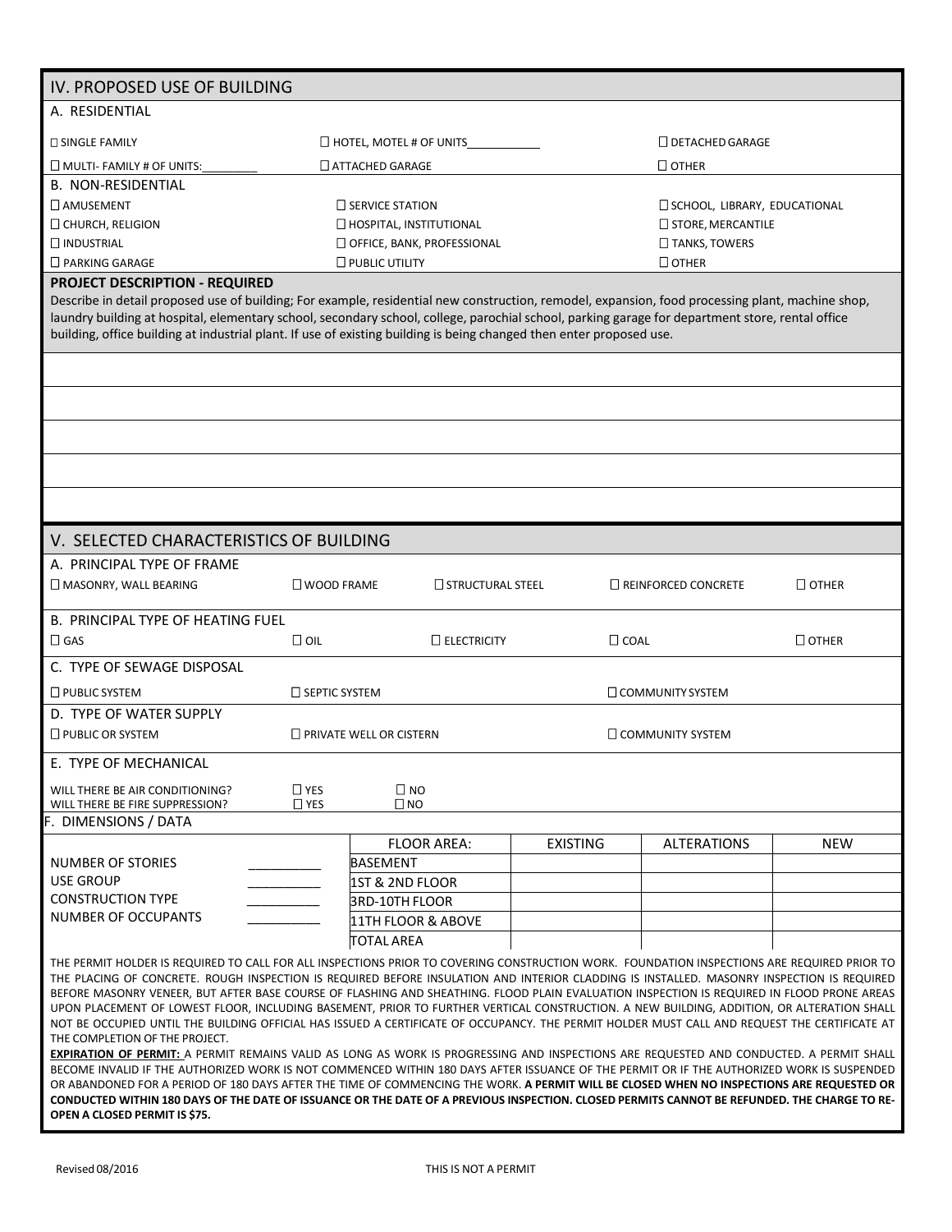| IV. PROPOSED USE OF BUILDING                                                                                                                                                                                                                                                                                                                                                                                                                                                                                                                                                                                                                                                                                                                                                                                                                                                                                                                                                                                                                                                                                                                                                                                                                                                                                                                                                                   |                                |                                |                            |                                        |              |  |  |  |  |
|------------------------------------------------------------------------------------------------------------------------------------------------------------------------------------------------------------------------------------------------------------------------------------------------------------------------------------------------------------------------------------------------------------------------------------------------------------------------------------------------------------------------------------------------------------------------------------------------------------------------------------------------------------------------------------------------------------------------------------------------------------------------------------------------------------------------------------------------------------------------------------------------------------------------------------------------------------------------------------------------------------------------------------------------------------------------------------------------------------------------------------------------------------------------------------------------------------------------------------------------------------------------------------------------------------------------------------------------------------------------------------------------|--------------------------------|--------------------------------|----------------------------|----------------------------------------|--------------|--|--|--|--|
| A. RESIDENTIAL                                                                                                                                                                                                                                                                                                                                                                                                                                                                                                                                                                                                                                                                                                                                                                                                                                                                                                                                                                                                                                                                                                                                                                                                                                                                                                                                                                                 |                                |                                |                            |                                        |              |  |  |  |  |
| <b>D SINGLE FAMILY</b>                                                                                                                                                                                                                                                                                                                                                                                                                                                                                                                                                                                                                                                                                                                                                                                                                                                                                                                                                                                                                                                                                                                                                                                                                                                                                                                                                                         | $\Box$ HOTEL, MOTEL # OF UNITS |                                |                            | $\square$ DETACHED GARAGE              |              |  |  |  |  |
| $\Box$ MULTI- FAMILY # OF UNITS:                                                                                                                                                                                                                                                                                                                                                                                                                                                                                                                                                                                                                                                                                                                                                                                                                                                                                                                                                                                                                                                                                                                                                                                                                                                                                                                                                               |                                | $\Box$ ATTACHED GARAGE         |                            | $\Box$ OTHER                           |              |  |  |  |  |
| <b>B. NON-RESIDENTIAL</b>                                                                                                                                                                                                                                                                                                                                                                                                                                                                                                                                                                                                                                                                                                                                                                                                                                                                                                                                                                                                                                                                                                                                                                                                                                                                                                                                                                      |                                |                                |                            |                                        |              |  |  |  |  |
| <b>LAMUSEMENT</b>                                                                                                                                                                                                                                                                                                                                                                                                                                                                                                                                                                                                                                                                                                                                                                                                                                                                                                                                                                                                                                                                                                                                                                                                                                                                                                                                                                              |                                | $\Box$ SERVICE STATION         |                            | <b>CI SCHOOL, LIBRARY, EDUCATIONAL</b> |              |  |  |  |  |
| CHURCH, RELIGION                                                                                                                                                                                                                                                                                                                                                                                                                                                                                                                                                                                                                                                                                                                                                                                                                                                                                                                                                                                                                                                                                                                                                                                                                                                                                                                                                                               | HOSPITAL, INSTITUTIONAL        |                                |                            | <b>STORE, MERCANTILE</b>               |              |  |  |  |  |
| $\Box$ INDUSTRIAL                                                                                                                                                                                                                                                                                                                                                                                                                                                                                                                                                                                                                                                                                                                                                                                                                                                                                                                                                                                                                                                                                                                                                                                                                                                                                                                                                                              |                                | OFFICE, BANK, PROFESSIONAL     | TANKS, TOWERS              |                                        |              |  |  |  |  |
| $\Box$ PARKING GARAGE                                                                                                                                                                                                                                                                                                                                                                                                                                                                                                                                                                                                                                                                                                                                                                                                                                                                                                                                                                                                                                                                                                                                                                                                                                                                                                                                                                          |                                | $\Box$ PUBLIC UTILITY          |                            | $\Box$ OTHER                           |              |  |  |  |  |
| <b>PROJECT DESCRIPTION - REQUIRED</b>                                                                                                                                                                                                                                                                                                                                                                                                                                                                                                                                                                                                                                                                                                                                                                                                                                                                                                                                                                                                                                                                                                                                                                                                                                                                                                                                                          |                                |                                |                            |                                        |              |  |  |  |  |
| Describe in detail proposed use of building; For example, residential new construction, remodel, expansion, food processing plant, machine shop,<br>laundry building at hospital, elementary school, secondary school, college, parochial school, parking garage for department store, rental office<br>building, office building at industrial plant. If use of existing building is being changed then enter proposed use.                                                                                                                                                                                                                                                                                                                                                                                                                                                                                                                                                                                                                                                                                                                                                                                                                                                                                                                                                                   |                                |                                |                            |                                        |              |  |  |  |  |
|                                                                                                                                                                                                                                                                                                                                                                                                                                                                                                                                                                                                                                                                                                                                                                                                                                                                                                                                                                                                                                                                                                                                                                                                                                                                                                                                                                                                |                                |                                |                            |                                        |              |  |  |  |  |
|                                                                                                                                                                                                                                                                                                                                                                                                                                                                                                                                                                                                                                                                                                                                                                                                                                                                                                                                                                                                                                                                                                                                                                                                                                                                                                                                                                                                |                                |                                |                            |                                        |              |  |  |  |  |
|                                                                                                                                                                                                                                                                                                                                                                                                                                                                                                                                                                                                                                                                                                                                                                                                                                                                                                                                                                                                                                                                                                                                                                                                                                                                                                                                                                                                |                                |                                |                            |                                        |              |  |  |  |  |
|                                                                                                                                                                                                                                                                                                                                                                                                                                                                                                                                                                                                                                                                                                                                                                                                                                                                                                                                                                                                                                                                                                                                                                                                                                                                                                                                                                                                |                                |                                |                            |                                        |              |  |  |  |  |
|                                                                                                                                                                                                                                                                                                                                                                                                                                                                                                                                                                                                                                                                                                                                                                                                                                                                                                                                                                                                                                                                                                                                                                                                                                                                                                                                                                                                |                                |                                |                            |                                        |              |  |  |  |  |
|                                                                                                                                                                                                                                                                                                                                                                                                                                                                                                                                                                                                                                                                                                                                                                                                                                                                                                                                                                                                                                                                                                                                                                                                                                                                                                                                                                                                |                                |                                |                            |                                        |              |  |  |  |  |
| V. SELECTED CHARACTERISTICS OF BUILDING                                                                                                                                                                                                                                                                                                                                                                                                                                                                                                                                                                                                                                                                                                                                                                                                                                                                                                                                                                                                                                                                                                                                                                                                                                                                                                                                                        |                                |                                |                            |                                        |              |  |  |  |  |
| A. PRINCIPAL TYPE OF FRAME                                                                                                                                                                                                                                                                                                                                                                                                                                                                                                                                                                                                                                                                                                                                                                                                                                                                                                                                                                                                                                                                                                                                                                                                                                                                                                                                                                     |                                |                                |                            |                                        |              |  |  |  |  |
| MASONRY, WALL BEARING                                                                                                                                                                                                                                                                                                                                                                                                                                                                                                                                                                                                                                                                                                                                                                                                                                                                                                                                                                                                                                                                                                                                                                                                                                                                                                                                                                          | $\square$ WOOD FRAME           | $\Box$ STRUCTURAL STEEL        | $\Box$ REINFORCED CONCRETE |                                        | $\Box$ OTHER |  |  |  |  |
| <b>B. PRINCIPAL TYPE OF HEATING FUEL</b>                                                                                                                                                                                                                                                                                                                                                                                                                                                                                                                                                                                                                                                                                                                                                                                                                                                                                                                                                                                                                                                                                                                                                                                                                                                                                                                                                       |                                |                                |                            |                                        |              |  |  |  |  |
| $\Box$ GAS                                                                                                                                                                                                                                                                                                                                                                                                                                                                                                                                                                                                                                                                                                                                                                                                                                                                                                                                                                                                                                                                                                                                                                                                                                                                                                                                                                                     | $\Box$ OIL                     | $\Box$ ELECTRICITY             | $\Box$ COAL                |                                        | $\Box$ OTHER |  |  |  |  |
| C. TYPE OF SEWAGE DISPOSAL                                                                                                                                                                                                                                                                                                                                                                                                                                                                                                                                                                                                                                                                                                                                                                                                                                                                                                                                                                                                                                                                                                                                                                                                                                                                                                                                                                     |                                |                                |                            |                                        |              |  |  |  |  |
| $\Box$ PUBLIC SYSTEM                                                                                                                                                                                                                                                                                                                                                                                                                                                                                                                                                                                                                                                                                                                                                                                                                                                                                                                                                                                                                                                                                                                                                                                                                                                                                                                                                                           | □ SEPTIC SYSTEM                |                                |                            | <b>COMMUNITY SYSTEM</b>                |              |  |  |  |  |
| D. TYPE OF WATER SUPPLY                                                                                                                                                                                                                                                                                                                                                                                                                                                                                                                                                                                                                                                                                                                                                                                                                                                                                                                                                                                                                                                                                                                                                                                                                                                                                                                                                                        |                                |                                |                            |                                        |              |  |  |  |  |
| $\Box$ PUBLIC OR SYSTEM                                                                                                                                                                                                                                                                                                                                                                                                                                                                                                                                                                                                                                                                                                                                                                                                                                                                                                                                                                                                                                                                                                                                                                                                                                                                                                                                                                        |                                | $\Box$ PRIVATE WELL OR CISTERN | <b>COMMUNITY SYSTEM</b>    |                                        |              |  |  |  |  |
| E. TYPE OF MECHANICAL                                                                                                                                                                                                                                                                                                                                                                                                                                                                                                                                                                                                                                                                                                                                                                                                                                                                                                                                                                                                                                                                                                                                                                                                                                                                                                                                                                          |                                |                                |                            |                                        |              |  |  |  |  |
| WILL THERE BE AIR CONDITIONING?<br>WILL THERE BE FIRE SUPPRESSION?<br>F. DIMENSIONS / DATA                                                                                                                                                                                                                                                                                                                                                                                                                                                                                                                                                                                                                                                                                                                                                                                                                                                                                                                                                                                                                                                                                                                                                                                                                                                                                                     | $\Box$ YES<br>$\Box$ YES       | $\square$ NO<br>$\square$ NO   |                            |                                        |              |  |  |  |  |
|                                                                                                                                                                                                                                                                                                                                                                                                                                                                                                                                                                                                                                                                                                                                                                                                                                                                                                                                                                                                                                                                                                                                                                                                                                                                                                                                                                                                |                                | <b>FLOOR AREA:</b>             | <b>EXISTING</b>            | <b>ALTERATIONS</b>                     | <b>NEW</b>   |  |  |  |  |
| NUMBER OF STORIES                                                                                                                                                                                                                                                                                                                                                                                                                                                                                                                                                                                                                                                                                                                                                                                                                                                                                                                                                                                                                                                                                                                                                                                                                                                                                                                                                                              |                                | <b>BASEMENT</b>                |                            |                                        |              |  |  |  |  |
| <b>USE GROUP</b>                                                                                                                                                                                                                                                                                                                                                                                                                                                                                                                                                                                                                                                                                                                                                                                                                                                                                                                                                                                                                                                                                                                                                                                                                                                                                                                                                                               |                                | 1ST & 2ND FLOOR                |                            |                                        |              |  |  |  |  |
| <b>CONSTRUCTION TYPE</b>                                                                                                                                                                                                                                                                                                                                                                                                                                                                                                                                                                                                                                                                                                                                                                                                                                                                                                                                                                                                                                                                                                                                                                                                                                                                                                                                                                       |                                | <b>3RD-10TH FLOOR</b>          |                            |                                        |              |  |  |  |  |
| <b>NUMBER OF OCCUPANTS</b>                                                                                                                                                                                                                                                                                                                                                                                                                                                                                                                                                                                                                                                                                                                                                                                                                                                                                                                                                                                                                                                                                                                                                                                                                                                                                                                                                                     |                                | 11TH FLOOR & ABOVE             |                            |                                        |              |  |  |  |  |
|                                                                                                                                                                                                                                                                                                                                                                                                                                                                                                                                                                                                                                                                                                                                                                                                                                                                                                                                                                                                                                                                                                                                                                                                                                                                                                                                                                                                |                                | <b>TOTAL AREA</b>              |                            |                                        |              |  |  |  |  |
| THE PERMIT HOLDER IS REQUIRED TO CALL FOR ALL INSPECTIONS PRIOR TO COVERING CONSTRUCTION WORK. FOUNDATION INSPECTIONS ARE REQUIRED PRIOR TO<br>THE PLACING OF CONCRETE. ROUGH INSPECTION IS REQUIRED BEFORE INSULATION AND INTERIOR CLADDING IS INSTALLED. MASONRY INSPECTION IS REQUIRED<br>BEFORE MASONRY VENEER, BUT AFTER BASE COURSE OF FLASHING AND SHEATHING. FLOOD PLAIN EVALUATION INSPECTION IS REQUIRED IN FLOOD PRONE AREAS<br>UPON PLACEMENT OF LOWEST FLOOR, INCLUDING BASEMENT, PRIOR TO FURTHER VERTICAL CONSTRUCTION. A NEW BUILDING, ADDITION, OR ALTERATION SHALL<br>NOT BE OCCUPIED UNTIL THE BUILDING OFFICIAL HAS ISSUED A CERTIFICATE OF OCCUPANCY. THE PERMIT HOLDER MUST CALL AND REQUEST THE CERTIFICATE AT<br>THE COMPLETION OF THE PROJECT.<br>EXPIRATION OF PERMIT: A PERMIT REMAINS VALID AS LONG AS WORK IS PROGRESSING AND INSPECTIONS ARE REQUESTED AND CONDUCTED. A PERMIT SHALL<br>BECOME INVALID IF THE AUTHORIZED WORK IS NOT COMMENCED WITHIN 180 DAYS AFTER ISSUANCE OF THE PERMIT OR IF THE AUTHORIZED WORK IS SUSPENDED<br>OR ABANDONED FOR A PERIOD OF 180 DAYS AFTER THE TIME OF COMMENCING THE WORK. A PERMIT WILL BE CLOSED WHEN NO INSPECTIONS ARE REQUESTED OR<br>CONDUCTED WITHIN 180 DAYS OF THE DATE OF ISSUANCE OR THE DATE OF A PREVIOUS INSPECTION. CLOSED PERMITS CANNOT BE REFUNDED. THE CHARGE TO RE-<br>OPEN A CLOSED PERMIT IS \$75. |                                |                                |                            |                                        |              |  |  |  |  |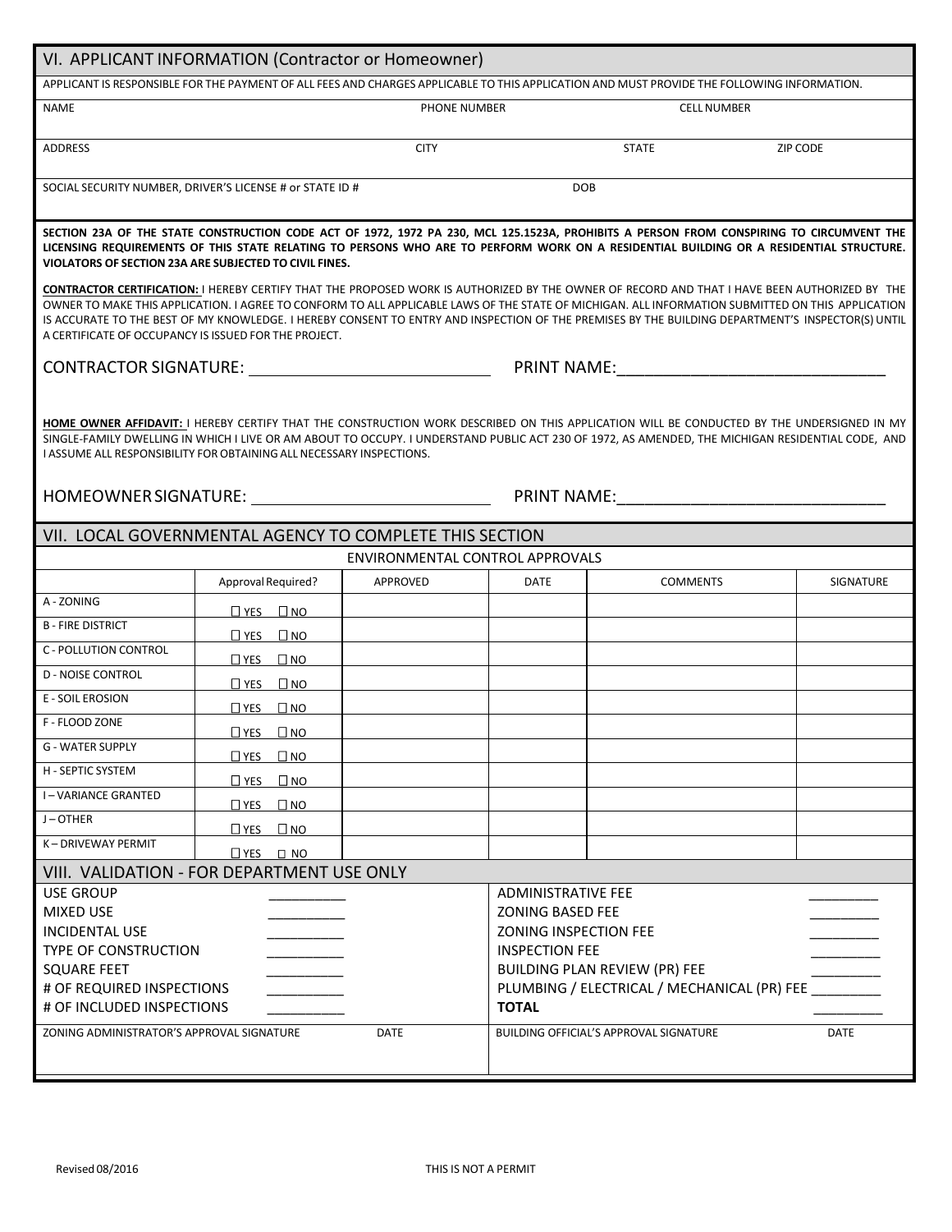| VI. APPLICANT INFORMATION (Contractor or Homeowner)                                                                                                                                                                                                                                                                                                                                                                                                                                                                     |                               |                                 |                                                                                                                                                                                                                                                                        |                    |           |  |  |
|-------------------------------------------------------------------------------------------------------------------------------------------------------------------------------------------------------------------------------------------------------------------------------------------------------------------------------------------------------------------------------------------------------------------------------------------------------------------------------------------------------------------------|-------------------------------|---------------------------------|------------------------------------------------------------------------------------------------------------------------------------------------------------------------------------------------------------------------------------------------------------------------|--------------------|-----------|--|--|
| APPLICANT IS RESPONSIBLE FOR THE PAYMENT OF ALL FEES AND CHARGES APPLICABLE TO THIS APPLICATION AND MUST PROVIDE THE FOLLOWING INFORMATION.                                                                                                                                                                                                                                                                                                                                                                             |                               |                                 |                                                                                                                                                                                                                                                                        |                    |           |  |  |
| <b>NAME</b>                                                                                                                                                                                                                                                                                                                                                                                                                                                                                                             |                               | PHONE NUMBER                    |                                                                                                                                                                                                                                                                        | <b>CELL NUMBER</b> |           |  |  |
| ADDRESS                                                                                                                                                                                                                                                                                                                                                                                                                                                                                                                 |                               | <b>CITY</b>                     |                                                                                                                                                                                                                                                                        | <b>STATE</b>       | ZIP CODE  |  |  |
| SOCIAL SECURITY NUMBER, DRIVER'S LICENSE # or STATE ID #                                                                                                                                                                                                                                                                                                                                                                                                                                                                |                               |                                 |                                                                                                                                                                                                                                                                        | <b>DOB</b>         |           |  |  |
| SECTION 23A OF THE STATE CONSTRUCTION CODE ACT OF 1972, 1972 PA 230, MCL 125.1523A, PROHIBITS A PERSON FROM CONSPIRING TO CIRCUMVENT THE<br>LICENSING REQUIREMENTS OF THIS STATE RELATING TO PERSONS WHO ARE TO PERFORM WORK ON A RESIDENTIAL BUILDING OR A RESIDENTIAL STRUCTURE.<br>VIOLATORS OF SECTION 23A ARE SUBJECTED TO CIVIL FINES.                                                                                                                                                                            |                               |                                 |                                                                                                                                                                                                                                                                        |                    |           |  |  |
| <b>CONTRACTOR CERTIFICATION: I HEREBY CERTIFY THAT THE PROPOSED WORK IS AUTHORIZED BY THE OWNER OF RECORD AND THAT I HAVE BEEN AUTHORIZED BY THE</b><br>OWNER TO MAKE THIS APPLICATION. I AGREE TO CONFORM TO ALL APPLICABLE LAWS OF THE STATE OF MICHIGAN. ALL INFORMATION SUBMITTED ON THIS APPLICATION<br>IS ACCURATE TO THE BEST OF MY KNOWLEDGE. I HEREBY CONSENT TO ENTRY AND INSPECTION OF THE PREMISES BY THE BUILDING DEPARTMENT'S INSPECTOR(S) UNTIL<br>A CERTIFICATE OF OCCUPANCY IS ISSUED FOR THE PROJECT. |                               |                                 |                                                                                                                                                                                                                                                                        |                    |           |  |  |
|                                                                                                                                                                                                                                                                                                                                                                                                                                                                                                                         |                               |                                 |                                                                                                                                                                                                                                                                        |                    |           |  |  |
| HOME OWNER AFFIDAVIT: I HEREBY CERTIFY THAT THE CONSTRUCTION WORK DESCRIBED ON THIS APPLICATION WILL BE CONDUCTED BY THE UNDERSIGNED IN MY<br>SINGLE-FAMILY DWELLING IN WHICH I LIVE OR AM ABOUT TO OCCUPY. I UNDERSTAND PUBLIC ACT 230 OF 1972, AS AMENDED, THE MICHIGAN RESIDENTIAL CODE, AND<br>I ASSUME ALL RESPONSIBILITY FOR OBTAINING ALL NECESSARY INSPECTIONS.<br>HOMEOWNER SIGNATURE: NOTE AND THE SERVICE OF THE SERVICE OF THE SERVICE OF THE SERVICE OF THE SERVICE OF THE S<br><b>PRINT NAME:</b>         |                               |                                 |                                                                                                                                                                                                                                                                        |                    |           |  |  |
| VII. LOCAL GOVERNMENTAL AGENCY TO COMPLETE THIS SECTION                                                                                                                                                                                                                                                                                                                                                                                                                                                                 |                               |                                 |                                                                                                                                                                                                                                                                        |                    |           |  |  |
|                                                                                                                                                                                                                                                                                                                                                                                                                                                                                                                         |                               | ENVIRONMENTAL CONTROL APPROVALS |                                                                                                                                                                                                                                                                        |                    |           |  |  |
|                                                                                                                                                                                                                                                                                                                                                                                                                                                                                                                         | Approval Required?            | APPROVED                        | <b>DATE</b>                                                                                                                                                                                                                                                            | <b>COMMENTS</b>    | SIGNATURE |  |  |
| A - ZONING                                                                                                                                                                                                                                                                                                                                                                                                                                                                                                              | $\Box$ YES $\Box$ NO          |                                 |                                                                                                                                                                                                                                                                        |                    |           |  |  |
| <b>B-FIRE DISTRICT</b>                                                                                                                                                                                                                                                                                                                                                                                                                                                                                                  | $\Box$ YES $\Box$ NO          |                                 |                                                                                                                                                                                                                                                                        |                    |           |  |  |
| <b>C - POLLUTION CONTROL</b>                                                                                                                                                                                                                                                                                                                                                                                                                                                                                            | $\Box$ YES $\Box$ NO          |                                 |                                                                                                                                                                                                                                                                        |                    |           |  |  |
| <b>D - NOISE CONTROL</b>                                                                                                                                                                                                                                                                                                                                                                                                                                                                                                | $\Box$ YES $\Box$ NO          |                                 |                                                                                                                                                                                                                                                                        |                    |           |  |  |
| <b>E - SOIL EROSION</b>                                                                                                                                                                                                                                                                                                                                                                                                                                                                                                 | $\Box$ YES $\Box$ NO          |                                 |                                                                                                                                                                                                                                                                        |                    |           |  |  |
| F - FLOOD ZONE                                                                                                                                                                                                                                                                                                                                                                                                                                                                                                          | $\square$ YES $\square$ NO    |                                 |                                                                                                                                                                                                                                                                        |                    |           |  |  |
| <b>G - WATER SUPPLY</b>                                                                                                                                                                                                                                                                                                                                                                                                                                                                                                 | $\Box$ YES $\Box$ NO          |                                 |                                                                                                                                                                                                                                                                        |                    |           |  |  |
| H - SEPTIC SYSTEM                                                                                                                                                                                                                                                                                                                                                                                                                                                                                                       | $\square$ YES<br>$\square$ NO |                                 |                                                                                                                                                                                                                                                                        |                    |           |  |  |
| <b>I-VARIANCE GRANTED</b>                                                                                                                                                                                                                                                                                                                                                                                                                                                                                               | $\Box$ YES $\Box$ NO          |                                 |                                                                                                                                                                                                                                                                        |                    |           |  |  |
| J-OTHER                                                                                                                                                                                                                                                                                                                                                                                                                                                                                                                 | $\square$ NO<br>$\square$ YES |                                 |                                                                                                                                                                                                                                                                        |                    |           |  |  |
| K-DRIVEWAY PERMIT                                                                                                                                                                                                                                                                                                                                                                                                                                                                                                       | $\Box$ YES $\Box$ NO          |                                 |                                                                                                                                                                                                                                                                        |                    |           |  |  |
| VIII. VALIDATION - FOR DEPARTMENT USE ONLY                                                                                                                                                                                                                                                                                                                                                                                                                                                                              |                               |                                 |                                                                                                                                                                                                                                                                        |                    |           |  |  |
| USE GROUP<br><b>MIXED USE</b><br><b>INCIDENTAL USE</b><br>TYPE OF CONSTRUCTION<br><b>SQUARE FEET</b><br># OF REQUIRED INSPECTIONS<br># OF INCLUDED INSPECTIONS<br>ZONING ADMINISTRATOR'S APPROVAL SIGNATURE<br><b>DATE</b>                                                                                                                                                                                                                                                                                              |                               |                                 | <b>ADMINISTRATIVE FEE</b><br><b>ZONING BASED FEE</b><br><b>ZONING INSPECTION FEE</b><br><b>INSPECTION FEE</b><br><b>BUILDING PLAN REVIEW (PR) FEE</b><br>PLUMBING / ELECTRICAL / MECHANICAL (PR) FEE<br><b>TOTAL</b><br>BUILDING OFFICIAL'S APPROVAL SIGNATURE<br>DATE |                    |           |  |  |
|                                                                                                                                                                                                                                                                                                                                                                                                                                                                                                                         |                               |                                 |                                                                                                                                                                                                                                                                        |                    |           |  |  |